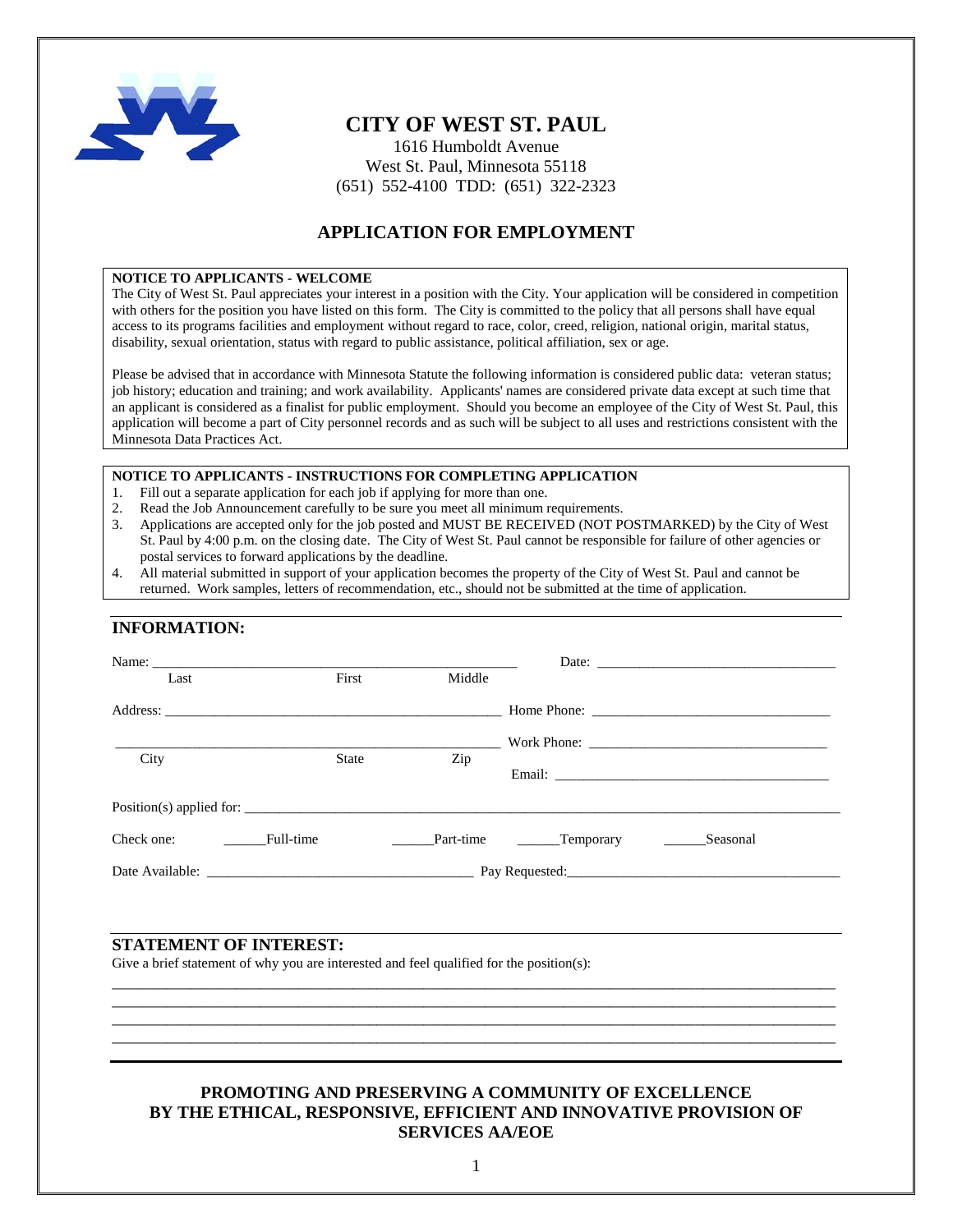

## **CITY OF WEST ST. PAUL**

1616 Humboldt Avenue West St. Paul, Minnesota 55118 (651) 552-4100 TDD: (651) 322-2323

### **APPLICATION FOR EMPLOYMENT**

#### **NOTICE TO APPLICANTS - WELCOME**

The City of West St. Paul appreciates your interest in a position with the City. Your application will be considered in competition with others for the position you have listed on this form. The City is committed to the policy that all persons shall have equal access to its programs facilities and employment without regard to race, color, creed, religion, national origin, marital status, disability, sexual orientation, status with regard to public assistance, political affiliation, sex or age.

Please be advised that in accordance with Minnesota Statute the following information is considered public data: veteran status; job history; education and training; and work availability. Applicants' names are considered private data except at such time that an applicant is considered as a finalist for public employment. Should you become an employee of the City of West St. Paul, this application will become a part of City personnel records and as such will be subject to all uses and restrictions consistent with the Minnesota Data Practices Act.

#### **NOTICE TO APPLICANTS - INSTRUCTIONS FOR COMPLETING APPLICATION**

- 1. Fill out a separate application for each job if applying for more than one.
- 2. Read the Job Announcement carefully to be sure you meet all minimum requirements.
- 3. Applications are accepted only for the job posted and MUST BE RECEIVED (NOT POSTMARKED) by the City of West St. Paul by 4:00 p.m. on the closing date. The City of West St. Paul cannot be responsible for failure of other agencies or postal services to forward applications by the deadline.
- 4. All material submitted in support of your application becomes the property of the City of West St. Paul and cannot be returned. Work samples, letters of recommendation, etc., should not be submitted at the time of application.

### **INFORMATION:**

| Name:<br>Last | First                     | Middle |                              |          |
|---------------|---------------------------|--------|------------------------------|----------|
|               |                           |        |                              |          |
|               |                           |        |                              |          |
|               |                           |        |                              |          |
| City          | <b>State</b>              | Zip    |                              |          |
|               |                           |        |                              |          |
|               |                           |        |                              |          |
| Check one:    | <b>Exercise</b> Full-time |        | Part-time _________Temporary | Seasonal |
|               |                           |        |                              |          |

#### **STATEMENT OF INTEREST:**

Give a brief statement of why you are interested and feel qualified for the position(s):

### **PROMOTING AND PRESERVING A COMMUNITY OF EXCELLENCE BY THE ETHICAL, RESPONSIVE, EFFICIENT AND INNOVATIVE PROVISION OF SERVICES AA/EOE**

\_\_\_\_\_\_\_\_\_\_\_\_\_\_\_\_\_\_\_\_\_\_\_\_\_\_\_\_\_\_\_\_\_\_\_\_\_\_\_\_\_\_\_\_\_\_\_\_\_\_\_\_\_\_\_\_\_\_\_\_\_\_\_\_\_\_\_\_\_\_\_\_\_\_\_\_\_\_\_\_\_\_\_\_\_\_\_\_\_\_\_\_\_ \_\_\_\_\_\_\_\_\_\_\_\_\_\_\_\_\_\_\_\_\_\_\_\_\_\_\_\_\_\_\_\_\_\_\_\_\_\_\_\_\_\_\_\_\_\_\_\_\_\_\_\_\_\_\_\_\_\_\_\_\_\_\_\_\_\_\_\_\_\_\_\_\_\_\_\_\_\_\_\_\_\_\_\_\_\_\_\_\_\_\_\_\_ \_\_\_\_\_\_\_\_\_\_\_\_\_\_\_\_\_\_\_\_\_\_\_\_\_\_\_\_\_\_\_\_\_\_\_\_\_\_\_\_\_\_\_\_\_\_\_\_\_\_\_\_\_\_\_\_\_\_\_\_\_\_\_\_\_\_\_\_\_\_\_\_\_\_\_\_\_\_\_\_\_\_\_\_\_\_\_\_\_\_\_\_\_ \_\_\_\_\_\_\_\_\_\_\_\_\_\_\_\_\_\_\_\_\_\_\_\_\_\_\_\_\_\_\_\_\_\_\_\_\_\_\_\_\_\_\_\_\_\_\_\_\_\_\_\_\_\_\_\_\_\_\_\_\_\_\_\_\_\_\_\_\_\_\_\_\_\_\_\_\_\_\_\_\_\_\_\_\_\_\_\_\_\_\_\_\_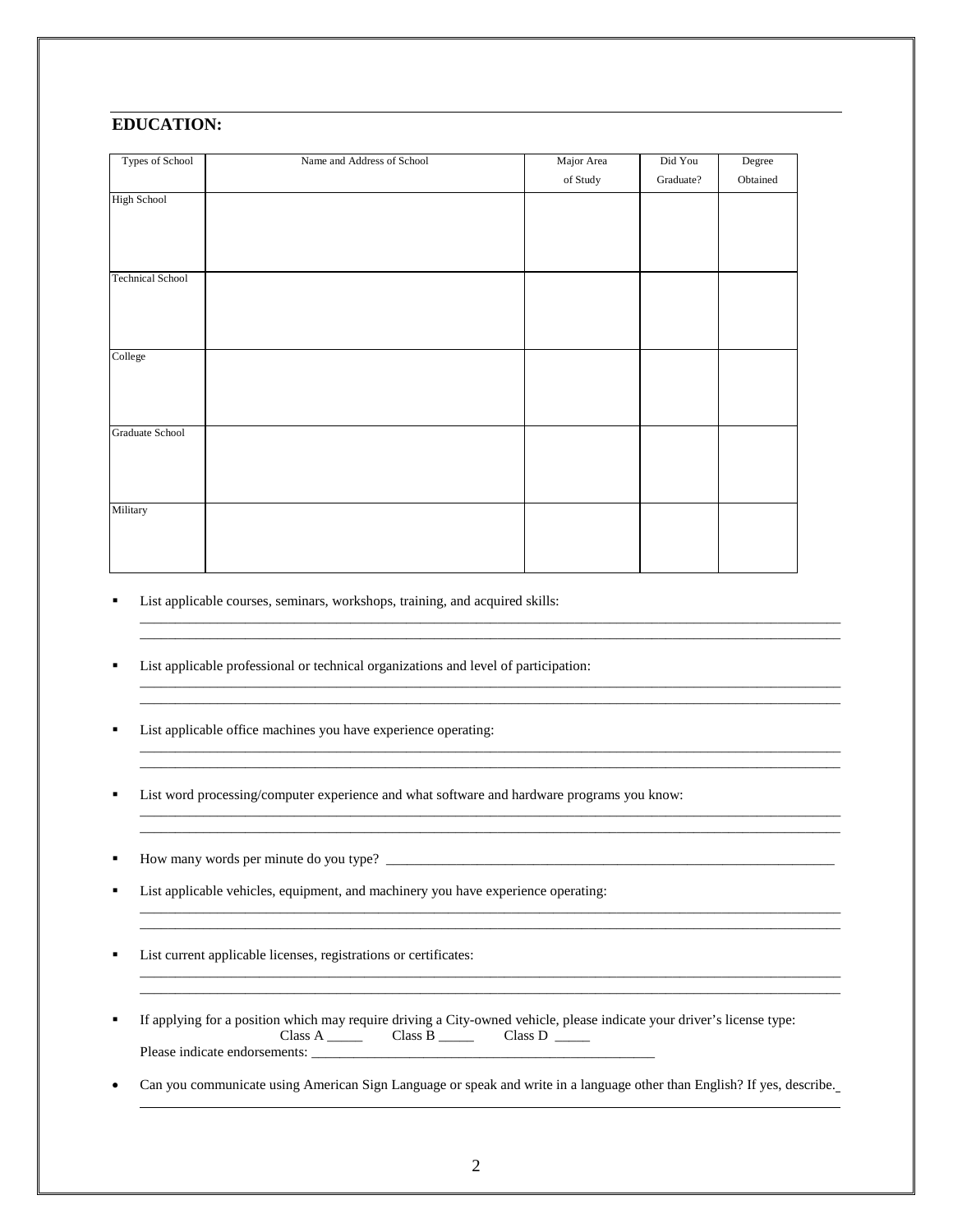### **EDUCATION:**

| Types of School         | Name and Address of School | Major Area | Did You   | Degree   |
|-------------------------|----------------------------|------------|-----------|----------|
|                         |                            | of Study   | Graduate? | Obtained |
| <b>High School</b>      |                            |            |           |          |
|                         |                            |            |           |          |
|                         |                            |            |           |          |
|                         |                            |            |           |          |
| <b>Technical School</b> |                            |            |           |          |
|                         |                            |            |           |          |
|                         |                            |            |           |          |
|                         |                            |            |           |          |
| College                 |                            |            |           |          |
|                         |                            |            |           |          |
|                         |                            |            |           |          |
|                         |                            |            |           |          |
| Graduate School         |                            |            |           |          |
|                         |                            |            |           |          |
|                         |                            |            |           |          |
|                         |                            |            |           |          |
| Military                |                            |            |           |          |
|                         |                            |            |           |          |
|                         |                            |            |           |          |
|                         |                            |            |           |          |

\_\_\_\_\_\_\_\_\_\_\_\_\_\_\_\_\_\_\_\_\_\_\_\_\_\_\_\_\_\_\_\_\_\_\_\_\_\_\_\_\_\_\_\_\_\_\_\_\_\_\_\_\_\_\_\_\_\_\_\_\_\_\_\_\_\_\_\_\_\_\_\_\_\_\_\_\_\_\_\_\_\_\_\_\_\_\_\_\_\_\_\_\_\_\_\_\_\_\_\_ \_\_\_\_\_\_\_\_\_\_\_\_\_\_\_\_\_\_\_\_\_\_\_\_\_\_\_\_\_\_\_\_\_\_\_\_\_\_\_\_\_\_\_\_\_\_\_\_\_\_\_\_\_\_\_\_\_\_\_\_\_\_\_\_\_\_\_\_\_\_\_\_\_\_\_\_\_\_\_\_\_\_\_\_\_\_\_\_\_\_\_\_\_\_\_\_\_\_\_\_

\_\_\_\_\_\_\_\_\_\_\_\_\_\_\_\_\_\_\_\_\_\_\_\_\_\_\_\_\_\_\_\_\_\_\_\_\_\_\_\_\_\_\_\_\_\_\_\_\_\_\_\_\_\_\_\_\_\_\_\_\_\_\_\_\_\_\_\_\_\_\_\_\_\_\_\_\_\_\_\_\_\_\_\_\_\_\_\_\_\_\_\_\_\_\_\_\_\_\_\_ \_\_\_\_\_\_\_\_\_\_\_\_\_\_\_\_\_\_\_\_\_\_\_\_\_\_\_\_\_\_\_\_\_\_\_\_\_\_\_\_\_\_\_\_\_\_\_\_\_\_\_\_\_\_\_\_\_\_\_\_\_\_\_\_\_\_\_\_\_\_\_\_\_\_\_\_\_\_\_\_\_\_\_\_\_\_\_\_\_\_\_\_\_\_\_\_\_\_\_\_

\_\_\_\_\_\_\_\_\_\_\_\_\_\_\_\_\_\_\_\_\_\_\_\_\_\_\_\_\_\_\_\_\_\_\_\_\_\_\_\_\_\_\_\_\_\_\_\_\_\_\_\_\_\_\_\_\_\_\_\_\_\_\_\_\_\_\_\_\_\_\_\_\_\_\_\_\_\_\_\_\_\_\_\_\_\_\_\_\_\_\_\_\_\_\_\_\_\_\_\_ \_\_\_\_\_\_\_\_\_\_\_\_\_\_\_\_\_\_\_\_\_\_\_\_\_\_\_\_\_\_\_\_\_\_\_\_\_\_\_\_\_\_\_\_\_\_\_\_\_\_\_\_\_\_\_\_\_\_\_\_\_\_\_\_\_\_\_\_\_\_\_\_\_\_\_\_\_\_\_\_\_\_\_\_\_\_\_\_\_\_\_\_\_\_\_\_\_\_\_\_

\_\_\_\_\_\_\_\_\_\_\_\_\_\_\_\_\_\_\_\_\_\_\_\_\_\_\_\_\_\_\_\_\_\_\_\_\_\_\_\_\_\_\_\_\_\_\_\_\_\_\_\_\_\_\_\_\_\_\_\_\_\_\_\_\_\_\_\_\_\_\_\_\_\_\_\_\_\_\_\_\_\_\_\_\_\_\_\_\_\_\_\_\_\_\_\_\_\_\_\_ \_\_\_\_\_\_\_\_\_\_\_\_\_\_\_\_\_\_\_\_\_\_\_\_\_\_\_\_\_\_\_\_\_\_\_\_\_\_\_\_\_\_\_\_\_\_\_\_\_\_\_\_\_\_\_\_\_\_\_\_\_\_\_\_\_\_\_\_\_\_\_\_\_\_\_\_\_\_\_\_\_\_\_\_\_\_\_\_\_\_\_\_\_\_\_\_\_\_\_\_

\_\_\_\_\_\_\_\_\_\_\_\_\_\_\_\_\_\_\_\_\_\_\_\_\_\_\_\_\_\_\_\_\_\_\_\_\_\_\_\_\_\_\_\_\_\_\_\_\_\_\_\_\_\_\_\_\_\_\_\_\_\_\_\_\_\_\_\_\_\_\_\_\_\_\_\_\_\_\_\_\_\_\_\_\_\_\_\_\_\_\_\_\_\_\_\_\_\_\_\_ \_\_\_\_\_\_\_\_\_\_\_\_\_\_\_\_\_\_\_\_\_\_\_\_\_\_\_\_\_\_\_\_\_\_\_\_\_\_\_\_\_\_\_\_\_\_\_\_\_\_\_\_\_\_\_\_\_\_\_\_\_\_\_\_\_\_\_\_\_\_\_\_\_\_\_\_\_\_\_\_\_\_\_\_\_\_\_\_\_\_\_\_\_\_\_\_\_\_\_\_

\_\_\_\_\_\_\_\_\_\_\_\_\_\_\_\_\_\_\_\_\_\_\_\_\_\_\_\_\_\_\_\_\_\_\_\_\_\_\_\_\_\_\_\_\_\_\_\_\_\_\_\_\_\_\_\_\_\_\_\_\_\_\_\_\_\_\_\_\_\_\_\_\_\_\_\_\_\_\_\_\_\_\_\_\_\_\_\_\_\_\_\_\_\_\_\_\_\_\_\_ \_\_\_\_\_\_\_\_\_\_\_\_\_\_\_\_\_\_\_\_\_\_\_\_\_\_\_\_\_\_\_\_\_\_\_\_\_\_\_\_\_\_\_\_\_\_\_\_\_\_\_\_\_\_\_\_\_\_\_\_\_\_\_\_\_\_\_\_\_\_\_\_\_\_\_\_\_\_\_\_\_\_\_\_\_\_\_\_\_\_\_\_\_\_\_\_\_\_\_\_

List applicable courses, seminars, workshops, training, and acquired skills:

List applicable professional or technical organizations and level of participation:

- List applicable office machines you have experience operating:
- List word processing/computer experience and what software and hardware programs you know:
- How many words per minute do you type? \_\_\_\_\_\_\_\_\_\_\_\_\_\_\_\_\_\_\_\_\_\_\_\_\_\_\_\_\_\_\_\_\_\_\_\_\_\_\_\_\_\_\_\_\_\_\_\_\_\_\_\_\_\_\_\_\_\_\_\_\_\_\_\_
- List applicable vehicles, equipment, and machinery you have experience operating:
- List current applicable licenses, registrations or certificates:
- If applying for a position which may require driving a City-owned vehicle, please indicate your driver's license type: Class A \_\_\_\_\_\_\_ Class B \_\_\_\_\_\_ Class D \_\_\_\_\_ Please indicate endorsements: \_\_\_\_\_\_\_\_\_\_\_\_\_\_\_\_\_\_\_\_\_\_\_\_\_\_\_\_\_\_\_\_\_\_\_\_\_\_\_\_\_\_\_\_\_\_\_\_\_
- Can you communicate using American Sign Language or speak and write in a language other than English? If yes, describe.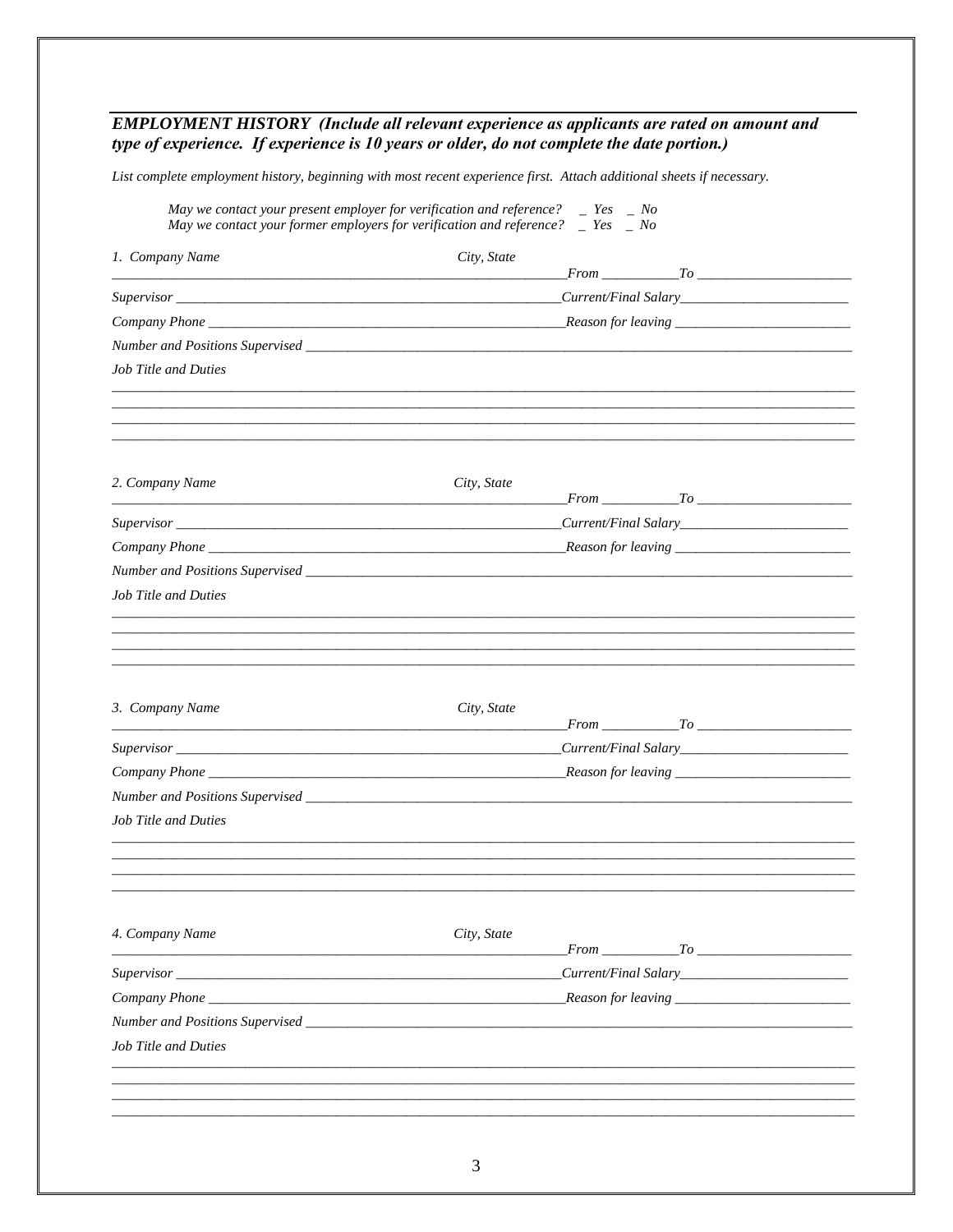### **EMPLOYMENT HISTORY** (Include all relevant experience as applicants are rated on amount and type of experience. If experience is 10 years or older, do not complete the date portion.)

List complete employment history, beginning with most recent experience first. Attach additional sheets if necessary.

|                                                    | May we contact your present employer for verification and reference? $\Box$ Yes $\Box$ No<br>May we contact your former employers for verification and reference? $\Box$ Yes $\Box$ No |  |
|----------------------------------------------------|----------------------------------------------------------------------------------------------------------------------------------------------------------------------------------------|--|
| 1. Company Name                                    | City, State<br>$From$ $T_0$                                                                                                                                                            |  |
|                                                    |                                                                                                                                                                                        |  |
|                                                    |                                                                                                                                                                                        |  |
|                                                    |                                                                                                                                                                                        |  |
| <b>Job Title and Duties</b>                        |                                                                                                                                                                                        |  |
|                                                    |                                                                                                                                                                                        |  |
| 2. Company Name                                    | City, State                                                                                                                                                                            |  |
|                                                    |                                                                                                                                                                                        |  |
|                                                    |                                                                                                                                                                                        |  |
|                                                    |                                                                                                                                                                                        |  |
| Job Title and Duties                               |                                                                                                                                                                                        |  |
| 3. Company Name                                    | City, State                                                                                                                                                                            |  |
|                                                    |                                                                                                                                                                                        |  |
|                                                    |                                                                                                                                                                                        |  |
|                                                    |                                                                                                                                                                                        |  |
| Job Title and Duties                               |                                                                                                                                                                                        |  |
|                                                    |                                                                                                                                                                                        |  |
| 4. Company Name                                    | City, State<br>From To To                                                                                                                                                              |  |
|                                                    |                                                                                                                                                                                        |  |
|                                                    |                                                                                                                                                                                        |  |
| Number and Positions Supervised Number 3 and 2008. |                                                                                                                                                                                        |  |
| <b>Job Title and Duties</b>                        |                                                                                                                                                                                        |  |
|                                                    |                                                                                                                                                                                        |  |
|                                                    |                                                                                                                                                                                        |  |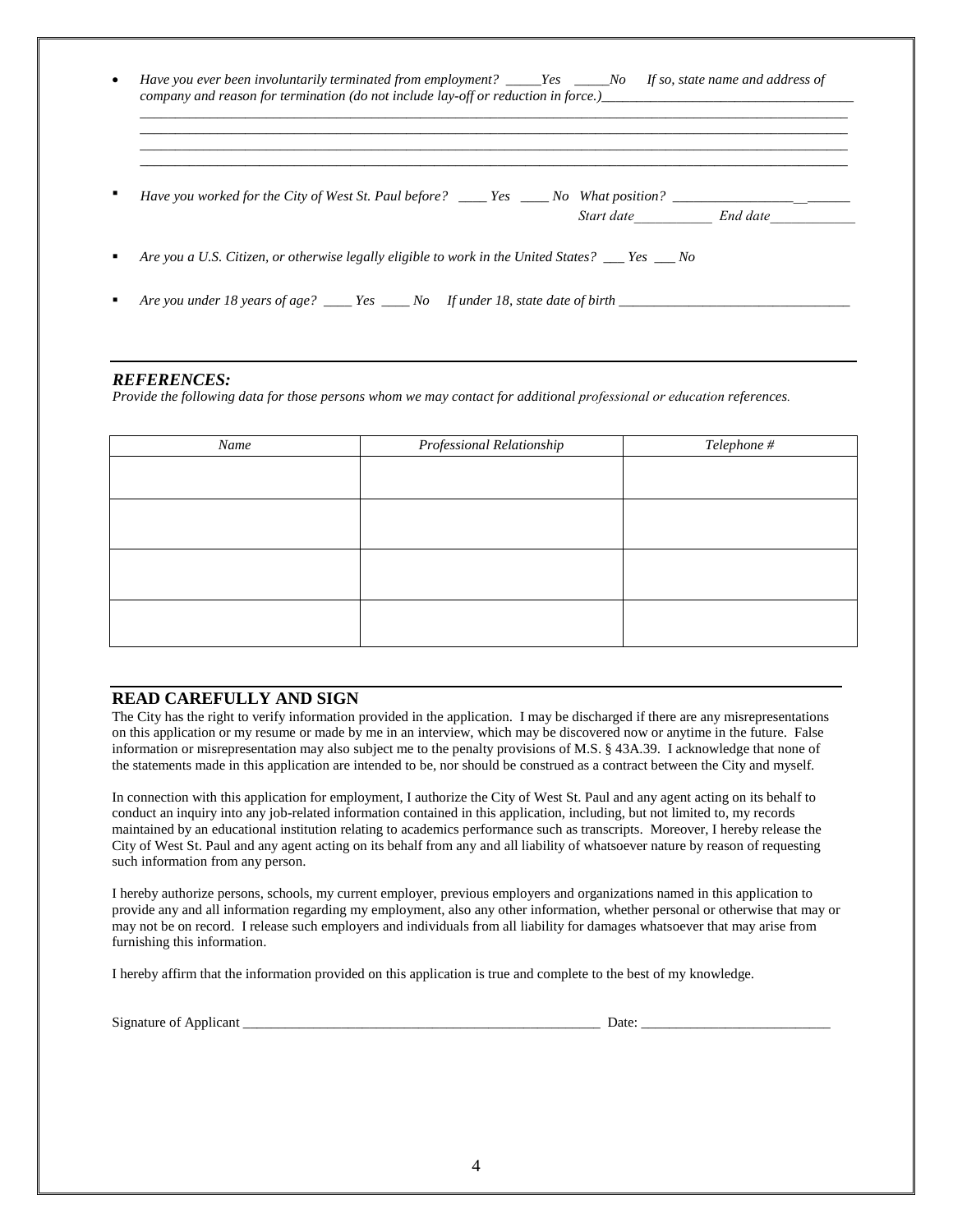|  | Have you worked for the City of West St. Paul before? ____ Yes ____ No What position? ___________________ |  | Start date Find date |
|--|-----------------------------------------------------------------------------------------------------------|--|----------------------|
|  | Are you a U.S. Citizen, or otherwise legally eligible to work in the United States? For No                |  |                      |

#### *REFERENCES:*

*Provide the following data for those persons whom we may contact for additional professional or education references.*

| Name | <b>Professional Relationship</b> | Telephone # |
|------|----------------------------------|-------------|
|      |                                  |             |
|      |                                  |             |
|      |                                  |             |
|      |                                  |             |
|      |                                  |             |
|      |                                  |             |
|      |                                  |             |
|      |                                  |             |
|      |                                  |             |

#### **READ CAREFULLY AND SIGN**

The City has the right to verify information provided in the application. I may be discharged if there are any misrepresentations on this application or my resume or made by me in an interview, which may be discovered now or anytime in the future. False information or misrepresentation may also subject me to the penalty provisions of M.S. § 43A.39. I acknowledge that none of the statements made in this application are intended to be, nor should be construed as a contract between the City and myself.

In connection with this application for employment, I authorize the City of West St. Paul and any agent acting on its behalf to conduct an inquiry into any job-related information contained in this application, including, but not limited to, my records maintained by an educational institution relating to academics performance such as transcripts. Moreover, I hereby release the City of West St. Paul and any agent acting on its behalf from any and all liability of whatsoever nature by reason of requesting such information from any person.

I hereby authorize persons, schools, my current employer, previous employers and organizations named in this application to provide any and all information regarding my employment, also any other information, whether personal or otherwise that may or may not be on record. I release such employers and individuals from all liability for damages whatsoever that may arise from furnishing this information.

I hereby affirm that the information provided on this application is true and complete to the best of my knowledge.

| $\sim$<br>` O L<br>мопаните | Jate |  |
|-----------------------------|------|--|
|                             |      |  |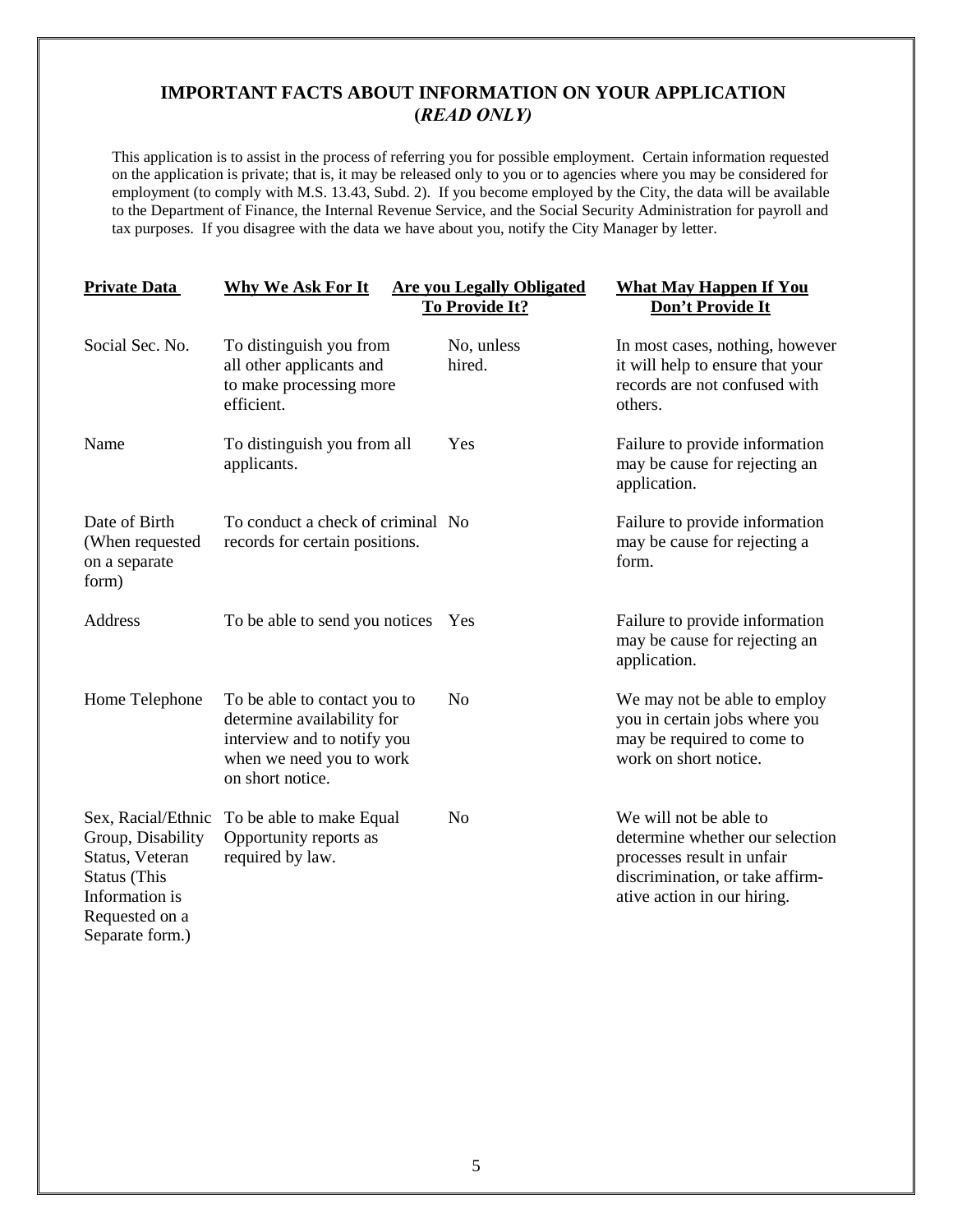### **IMPORTANT FACTS ABOUT INFORMATION ON YOUR APPLICATION (***READ ONLY)*

This application is to assist in the process of referring you for possible employment. Certain information requested on the application is private; that is, it may be released only to you or to agencies where you may be considered for employment (to comply with M.S. 13.43, Subd. 2). If you become employed by the City, the data will be available to the Department of Finance, the Internal Revenue Service, and the Social Security Administration for payroll and tax purposes. If you disagree with the data we have about you, notify the City Manager by letter.

| <b>Private Data</b>                                                                                                                      | Why We Ask For It                                                                                                                         | <b>Are you Legally Obligated</b><br>To Provide It? | <b>What May Happen If You</b><br>Don't Provide It                                                                                                         |
|------------------------------------------------------------------------------------------------------------------------------------------|-------------------------------------------------------------------------------------------------------------------------------------------|----------------------------------------------------|-----------------------------------------------------------------------------------------------------------------------------------------------------------|
| Social Sec. No.                                                                                                                          | To distinguish you from<br>all other applicants and<br>to make processing more<br>efficient.                                              | No, unless<br>hired.                               | In most cases, nothing, however<br>it will help to ensure that your<br>records are not confused with<br>others.                                           |
| Name                                                                                                                                     | To distinguish you from all<br>applicants.                                                                                                | Yes                                                | Failure to provide information<br>may be cause for rejecting an<br>application.                                                                           |
| Date of Birth<br>(When requested<br>on a separate<br>form)                                                                               | To conduct a check of criminal No<br>records for certain positions.                                                                       |                                                    | Failure to provide information<br>may be cause for rejecting a<br>form.                                                                                   |
| Address                                                                                                                                  | To be able to send you notices Yes                                                                                                        |                                                    | Failure to provide information<br>may be cause for rejecting an<br>application.                                                                           |
| Home Telephone                                                                                                                           | To be able to contact you to<br>determine availability for<br>interview and to notify you<br>when we need you to work<br>on short notice. | N <sub>o</sub>                                     | We may not be able to employ<br>you in certain jobs where you<br>may be required to come to<br>work on short notice.                                      |
| Sex, Racial/Ethnic<br>Group, Disability<br>Status, Veteran<br><b>Status</b> (This<br>Information is<br>Requested on a<br>Separate form.) | To be able to make Equal<br>Opportunity reports as<br>required by law.                                                                    | No                                                 | We will not be able to<br>determine whether our selection<br>processes result in unfair<br>discrimination, or take affirm-<br>ative action in our hiring. |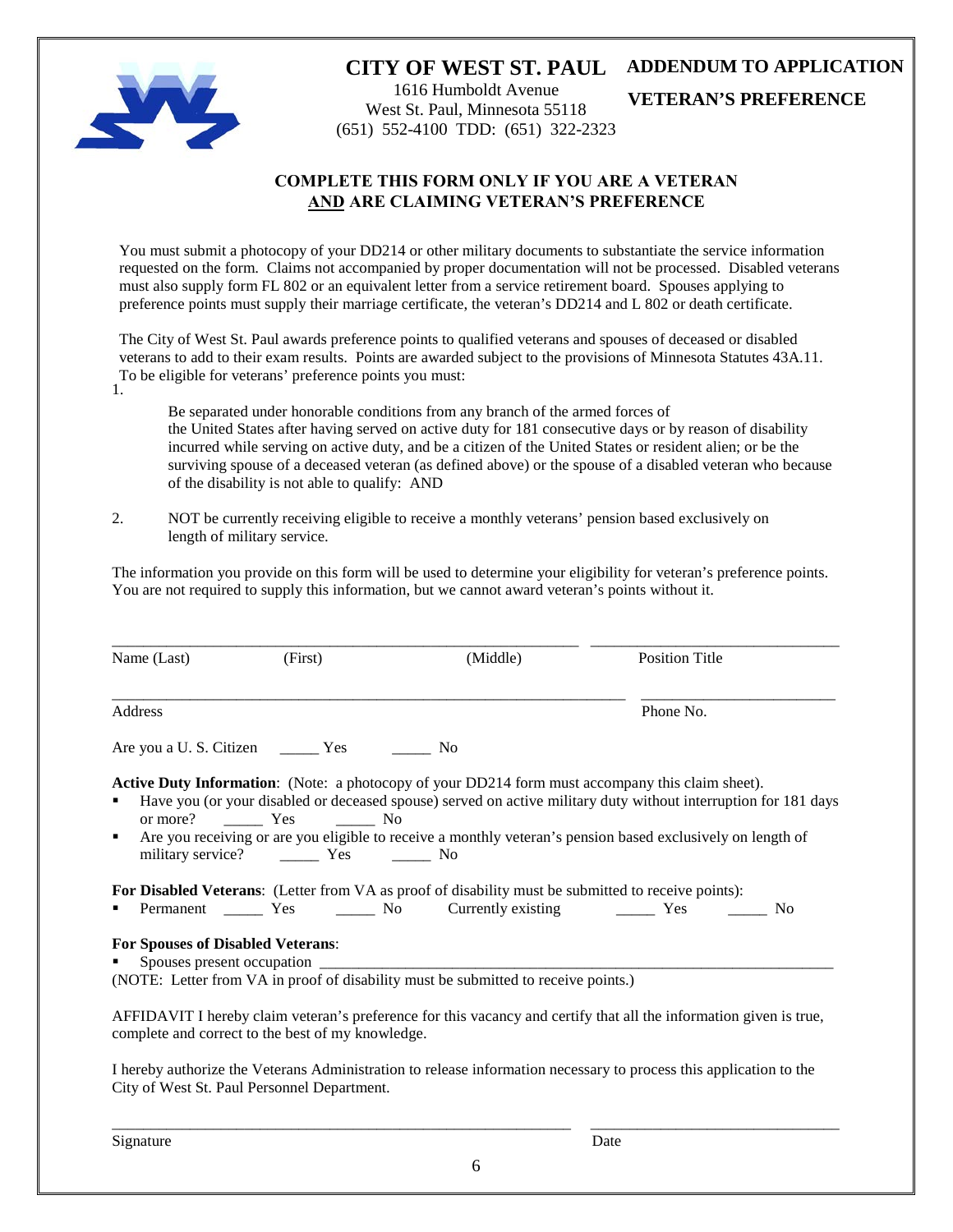

# **CITY OF WEST ST. PAUL ADDENDUM TO APPLICATION**

1616 Humboldt Avenue West St. Paul, Minnesota 55118 (651) 552-4100 TDD: (651) 322-2323

**VETERAN'S PREFERENCE** 

### **COMPLETE THIS FORM ONLY IF YOU ARE A VETERAN AND ARE CLAIMING VETERAN'S PREFERENCE**

You must submit a photocopy of your DD214 or other military documents to substantiate the service information requested on the form. Claims not accompanied by proper documentation will not be processed. Disabled veterans must also supply form FL 802 or an equivalent letter from a service retirement board. Spouses applying to preference points must supply their marriage certificate, the veteran's DD214 and L 802 or death certificate.

The City of West St. Paul awards preference points to qualified veterans and spouses of deceased or disabled veterans to add to their exam results. Points are awarded subject to the provisions of Minnesota Statutes 43A.11. To be eligible for veterans' preference points you must: 1.

Be separated under honorable conditions from any branch of the armed forces of the United States after having served on active duty for 181 consecutive days or by reason of disability incurred while serving on active duty, and be a citizen of the United States or resident alien; or be the surviving spouse of a deceased veteran (as defined above) or the spouse of a disabled veteran who because of the disability is not able to qualify: AND

2. NOT be currently receiving eligible to receive a monthly veterans' pension based exclusively on length of military service.

The information you provide on this form will be used to determine your eligibility for veteran's preference points. You are not required to supply this information, but we cannot award veteran's points without it.

| Name (Last)                              | (First)                                           | (Middle)                                                                                            | <b>Position Title</b>                                                                                                                                                                                                                                                                                                              |
|------------------------------------------|---------------------------------------------------|-----------------------------------------------------------------------------------------------------|------------------------------------------------------------------------------------------------------------------------------------------------------------------------------------------------------------------------------------------------------------------------------------------------------------------------------------|
| Address                                  |                                                   |                                                                                                     | Phone No.                                                                                                                                                                                                                                                                                                                          |
|                                          |                                                   |                                                                                                     |                                                                                                                                                                                                                                                                                                                                    |
| ٠<br>٠                                   |                                                   |                                                                                                     | Active Duty Information: (Note: a photocopy of your DD214 form must accompany this claim sheet).<br>Have you (or your disabled or deceased spouse) served on active military duty without interruption for 181 days<br>Are you receiving or are you eligible to receive a monthly veteran's pension based exclusively on length of |
| ٠                                        |                                                   | For Disabled Veterans: (Letter from VA as proof of disability must be submitted to receive points): |                                                                                                                                                                                                                                                                                                                                    |
| <b>For Spouses of Disabled Veterans:</b> | Spouses present occupation                        | (NOTE: Letter from VA in proof of disability must be submitted to receive points.)                  |                                                                                                                                                                                                                                                                                                                                    |
|                                          | complete and correct to the best of my knowledge. |                                                                                                     | AFFIDAVIT I hereby claim veteran's preference for this vacancy and certify that all the information given is true,                                                                                                                                                                                                                 |

I hereby authorize the Veterans Administration to release information necessary to process this application to the City of West St. Paul Personnel Department.

Signature Date

\_\_\_\_\_\_\_\_\_\_\_\_\_\_\_\_\_\_\_\_\_\_\_\_\_\_\_\_\_\_\_\_\_\_\_\_\_\_\_\_\_\_\_\_\_\_\_\_\_\_\_\_\_\_\_\_\_\_\_ \_\_\_\_\_\_\_\_\_\_\_\_\_\_\_\_\_\_\_\_\_\_\_\_\_\_\_\_\_\_\_\_